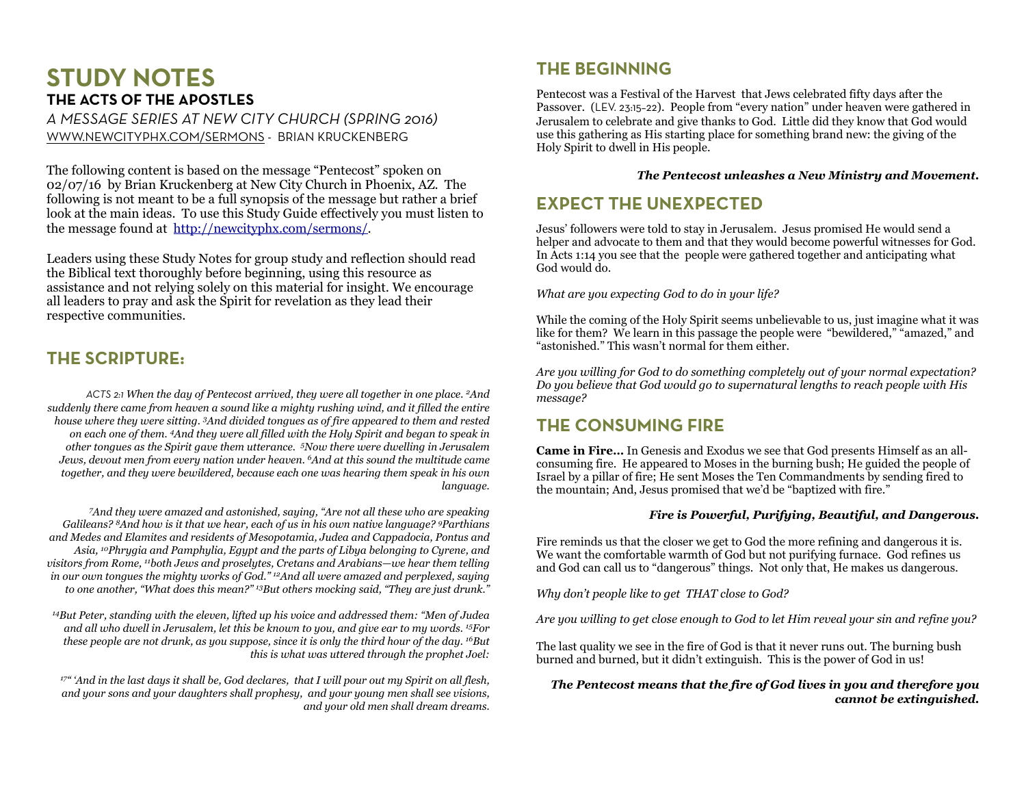# **STUDY NOTES THE ACTS OF THE APOSTLES**

*A MESSAGE SERIES AT NEW CITY CHURCH (SPRING 2016)* [WWW.NEWCITYPHX.COM/SERMONS](http://newcityphx.com/sermons/) - BRIAN KRUCKENBERG

The following content is based on the message "Pentecost" spoken on 02/07/16 by Brian Kruckenberg at New City Church in Phoenix, AZ. The following is not meant to be a full synopsis of the message but rather a brief look at the main ideas. To use this Study Guide effectively you must listen to the message found at [http://newcityphx.com/sermons/.](http://newcityphx.com/sermons/)

Leaders using these Study Notes for group study and reflection should read the Biblical text thoroughly before beginning, using this resource as assistance and not relying solely on this material for insight. We encourage all leaders to pray and ask the Spirit for revelation as they lead their respective communities.

## **THE SCRIPTURE:**

*ACTS 2:1 When the day of Pentecost arrived, they were all together in one place. 2And suddenly there came from heaven a sound like a mighty rushing wind, and it filled the entire house where they were sitting. 3And divided tongues as of fire appeared to them and rested on each one of them. 4And they were all filled with the Holy Spirit and began to speak in other tongues as the Spirit gave them utterance. 5Now there were dwelling in Jerusalem Jews, devout men from every nation under heaven. 6And at this sound the multitude came together, and they were bewildered, because each one was hearing them speak in his own language.* 

*7And they were amazed and astonished, saying, "Are not all these who are speaking Galileans? 8And how is it that we hear, each of us in his own native language? 9Parthians and Medes and Elamites and residents of Mesopotamia, Judea and Cappadocia, Pontus and Asia, 10Phrygia and Pamphylia, Egypt and the parts of Libya belonging to Cyrene, and visitors from Rome, 11both Jews and proselytes, Cretans and Arabians—we hear them telling in our own tongues the mighty works of God." 12And all were amazed and perplexed, saying to one another, "What does this mean?" 13But others mocking said, "They are just drunk."* 

*14But Peter, standing with the eleven, lifted up his voice and addressed them: "Men of Judea and all who dwell in Jerusalem, let this be known to you, and give ear to my words. 15For these people are not drunk, as you suppose, since it is only the third hour of the day. 16But this is what was uttered through the prophet Joel:* 

*17" 'And in the last days it shall be, God declares, that I will pour out my Spirit on all flesh, and your sons and your daughters shall prophesy, and your young men shall see visions, and your old men shall dream dreams.*

# **THE BEGINNING**

Pentecost was a Festival of the Harvest that Jews celebrated fifty days after the Passover. (LEV. 23:15–22). People from "every nation" under heaven were gathered in Jerusalem to celebrate and give thanks to God. Little did they know that God would use this gathering as His starting place for something brand new: the giving of the Holy Spirit to dwell in His people.

### *The Pentecost unleashes a New Ministry and Movement.*

# **EXPECT THE UNEXPECTED**

Jesus' followers were told to stay in Jerusalem. Jesus promised He would send a helper and advocate to them and that they would become powerful witnesses for God. In Acts 1:14 you see that the people were gathered together and anticipating what God would do.

*What are you expecting God to do in your life?* 

While the coming of the Holy Spirit seems unbelievable to us, just imagine what it was like for them? We learn in this passage the people were "bewildered," "amazed," and "astonished." This wasn't normal for them either.

*Are you willing for God to do something completely out of your normal expectation? Do you believe that God would go to supernatural lengths to reach people with His message?*

# **THE CONSUMING FIRE**

**Came in Fire…** In Genesis and Exodus we see that God presents Himself as an allconsuming fire. He appeared to Moses in the burning bush; He guided the people of Israel by a pillar of fire; He sent Moses the Ten Commandments by sending fired to the mountain; And, Jesus promised that we'd be "baptized with fire."

### *Fire is Powerful, Purifying, Beautiful, and Dangerous.*

Fire reminds us that the closer we get to God the more refining and dangerous it is. We want the comfortable warmth of God but not purifying furnace. God refines us and God can call us to "dangerous" things. Not only that, He makes us dangerous.

*Why don't people like to get THAT close to God?* 

*Are you willing to get close enough to God to let Him reveal your sin and refine you?* 

The last quality we see in the fire of God is that it never runs out. The burning bush burned and burned, but it didn't extinguish. This is the power of God in us!

### *The Pentecost means that the fire of God lives in you and therefore you cannot be extinguished.*